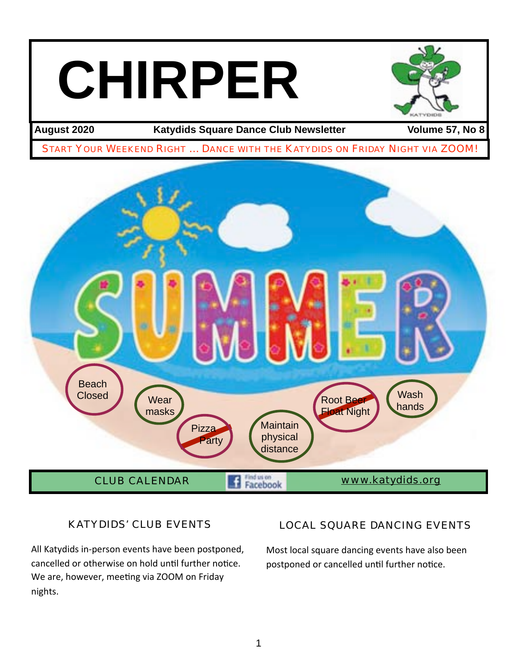# **CHIRPER**



August 2020 **Katydids Square Dance Club Newsletter** Volume 57, No 8

START YOUR WEEKEND RIGHT … DANCE WITH THE KATYDIDS ON FRIDAY NIGHT VIA ZOOM!



# KATYDIDS' CLUB EVENTS

All Katydids in-person events have been postponed, cancelled or otherwise on hold until further notice. We are, however, meeting via ZOOM on Friday nights.

# LOCAL SQUARE DANCING EVENTS

Most local square dancing events have also been postponed or cancelled until further notice.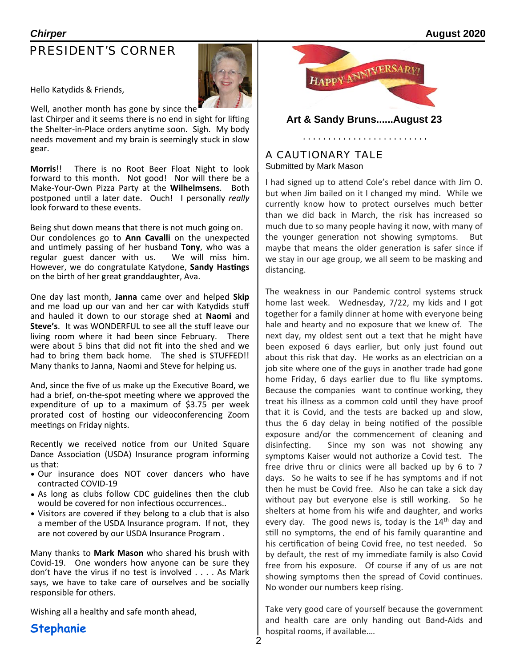# PRESIDENT'S CORNER



Hello Katydids & Friends,

Well, another month has gone by since the last Chirper and it seems there is no end in sight for lifting the Shelter-in-Place orders anytime soon. Sigh. My body needs movement and my brain is seemingly stuck in slow gear.

**Morris!!** There is no Root Beer Float Night to look forward to this month. Not good! Nor will there be a Make-Your-Own Pizza Party at the **Wilhelmsens**. Both postponed until a later date. Ouch! I personally *really* look forward to these events.

Being shut down means that there is not much going on. Our condolences go to **Ann Cavalli** on the unexpected and untimely passing of her husband **Tony**, who was a regular guest dancer with us. We will miss him. However, we do congratulate Katydone, Sandy Hastings on the birth of her great granddaughter, Ava.

One day last month, Janna came over and helped **Skip** and me load up our van and her car with Katydids stuff and hauled it down to our storage shed at **Naomi** and **Steve's.** It was WONDERFUL to see all the stuff leave our living room where it had been since February. There were about 5 bins that did not fit into the shed and we had to bring them back home. The shed is STUFFED!! Many thanks to Janna, Naomi and Steve for helping us.

And, since the five of us make up the Executive Board, we had a brief, on-the-spot meeting where we approved the expenditure of up to a maximum of  $$3.75$  per week prorated cost of hosting our videoconferencing Zoom meetings on Friday nights.

Recently we received notice from our United Square Dance Association (USDA) Insurance program informing us that:

- Our insurance does NOT cover dancers who have contracted COVID-19
- As long as clubs follow CDC guidelines then the club would be covered for non infectious occurrences..
- Visitors are covered if they belong to a club that is also a member of the USDA Insurance program. If not, they are not covered by our USDA Insurance Program.

Many thanks to **Mark Mason** who shared his brush with Covid-19. One wonders how anyone can be sure they don't have the virus if no test is involved  $\dots$ . As Mark says, we have to take care of ourselves and be socially responsible for others.

Wishing all a healthy and safe month ahead,

**Stephanie**



**Art & Sandy Bruns......August 23**

### A CAUTIONARY TALE

. . . . . . . . . . . . . . .

Submitted by Mark Mason

I had signed up to attend Cole's rebel dance with Jim O. but when Jim bailed on it I changed my mind. While we currently know how to protect ourselves much better than we did back in March, the risk has increased so much due to so many people having it now, with many of the younger generation not showing symptoms. But maybe that means the older generation is safer since if we stay in our age group, we all seem to be masking and distancing.

The weakness in our Pandemic control systems struck home last week. Wednesday,  $7/22$ , my kids and I got together for a family dinner at home with everyone being hale and hearty and no exposure that we knew of. The next day, my oldest sent out a text that he might have been exposed 6 days earlier, but only just found out about this risk that day. He works as an electrician on a job site where one of the guys in another trade had gone home Friday, 6 days earlier due to flu like symptoms. Because the companies want to continue working, they treat his illness as a common cold until they have proof that it is Covid, and the tests are backed up and slow, thus the 6 day delay in being notified of the possible exposure and/or the commencement of cleaning and disinfecting. Since my son was not showing any symptoms Kaiser would not authorize a Covid test. The free drive thru or clinics were all backed up by 6 to 7 days. So he waits to see if he has symptoms and if not then he must be Covid free. Also he can take a sick day without pay but everyone else is still working. So he shelters at home from his wife and daughter, and works every day. The good news is, today is the  $14<sup>th</sup>$  day and still no symptoms, the end of his family quarantine and his certification of being Covid free, no test needed. So by default, the rest of my immediate family is also Covid free from his exposure. Of course if any of us are not showing symptoms then the spread of Covid continues. No wonder our numbers keep rising.

Take very good care of yourself because the government and health care are only handing out Band-Aids and hospital rooms, if available....